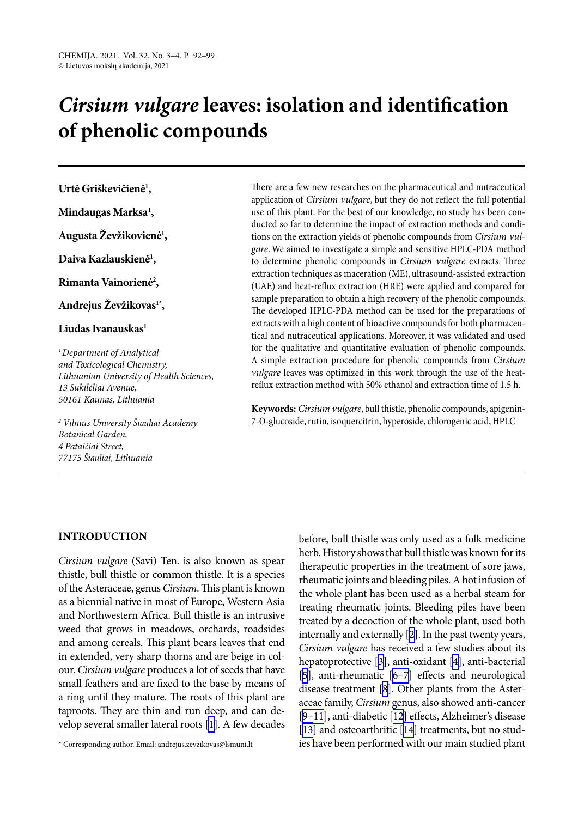# *Cirsium vulgare* **leaves: isolation and identification of phenolic compounds**

**Urtė Griškevičienė1 ,**

**Mindaugas Marksa1 ,**

**Augusta Ževžikovienė1 ,**

**Daiva Kazlauskienė1 ,**

**Rimanta Vainorienė2 ,**

**Andrejus Ževžikovas1\*,**

# **Liudas Ivanauskas1**

*1Department of Analytical and Toxicological Chemistry, Lithuanian University of Health Sciences, 13 Sukilėliai Avenue, 50161 Kaunas, Lithuania*

 *Vilnius University Šiauliai Academy Botanical Garden, Pataičiai Street, Šiauliai, Lithuania*

There are a few new researches on the pharmaceutical and nutraceutical application of *Cirsium vulgare*, but they do not reflect the full potential use of this plant. For the best of our knowledge, no study has been conducted so far to determine the impact of extraction methods and conditions on the extraction yields of phenolic compounds from *Cirsium vulgare*. We aimed to investigate a simple and sensitive HPLC-PDA method to determine phenolic compounds in *Cirsium vulgare* extracts. Three extraction techniques as maceration (ME), ultrasound-assisted extraction (UAE) and heat-reflux extraction (HRE) were applied and compared for sample preparation to obtain a high recovery of the phenolic compounds. The developed HPLC-PDA method can be used for the preparations of extracts with a high content of bioactive compounds for both pharmaceutical and nutraceutical applications. Moreover, it was validated and used for the qualitative and quantitative evaluation of phenolic compounds. A simple extraction procedure for phenolic compounds from *Cirsium vulgare* leaves was optimized in this work through the use of the heatreflux extraction method with 50% ethanol and extraction time of 1.5 h.

**Keywords:** *Cirsium vulgare*, bull thistle, phenolic compounds, apigenin-7-O-glucoside, rutin, isoquercitrin, hyperoside, chlorogenic acid, HPLC

# **INTRODUCTION**

*Cirsium vulgare* (Savi) Ten. is also known as spear thistle, bull thistle or common thistle. It is a species of the Asteraceae, genus *Cirsium*. This plant is known as a biennial native in most of Europe, Western Asia and Northwestern Africa. Bull thistle is an intrusive weed that grows in meadows, orchards, roadsides and among cereals. This plant bears leaves that end in extended, very sharp thorns and are beige in colour. *Cirsium vulgare* produces a lot of seeds that have small feathers and are fixed to the base by means of a ring until they mature. The roots of this plant are taproots. They are thin and run deep, and can develop several smaller lateral roots [[1\]](#page-6-0). A few decades before, bull thistle was only used as a folk medicine herb. History shows that bull thistle was known for its therapeutic properties in the treatment of sore jaws, rheumatic joints and bleeding piles. A hot infusion of the whole plant has been used as a herbal steam for treating rheumatic joints. Bleeding piles have been treated by a decoction of the whole plant, used both internally and externally [[2\]](#page-6-1). In the past twenty years, *Cirsium vulgare* has received a few studies about its hepatoprotective [[3](#page-6-2)], anti-oxidant [\[4\]](#page-6-3), anti-bacterial [\[5](#page-6-4)], anti-rheumatic [[6–7](#page-6-5)] effects and neurological disease treatment [\[8\]](#page-6-6). Other plants from the Asteraceae family, *Cirsium* genus, also showed anti-cancer [\[9–11\]](#page-7-0), anti-diabetic [\[12\]](#page-7-1) effects, Alzheimer's disease [\[13\]](#page-7-2) and osteoarthritic [[14](#page-7-3)] treatments, but no studies have been performed with our main studied plant

<sup>\*</sup> Corresponding author. Email: andrejus.zevzikovas@lsmuni.lt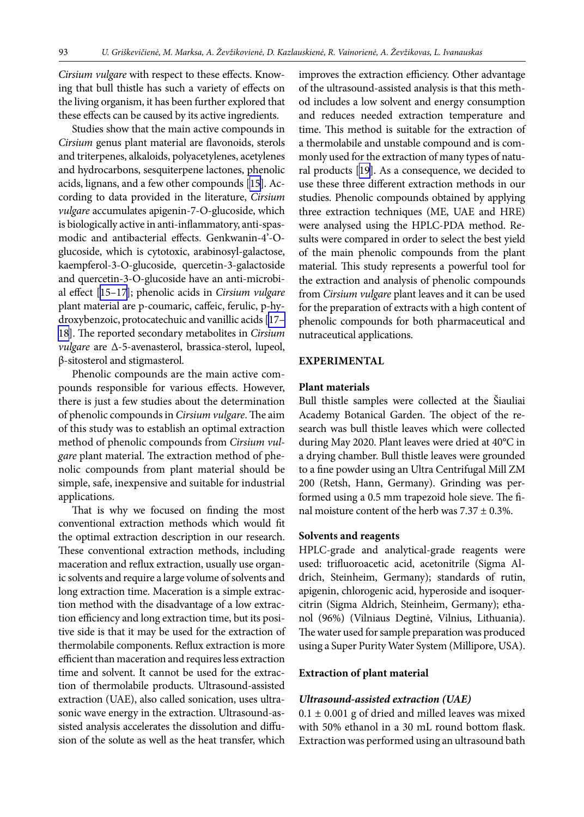*Cirsium vulgare* with respect to these effects. Knowing that bull thistle has such a variety of effects on the living organism, it has been further explored that these effects can be caused by its active ingredients.

Studies show that the main active compounds in *Cirsium* genus plant material are flavonoids, sterols and triterpenes, alkaloids, polyacetylenes, acetylenes and hydrocarbons, sesquiterpene lactones, phenolic acids, lignans, and a few other compounds [[15\]](#page-7-4). According to data provided in the literature, *Cirsium vulgare* accumulates apigenin-7-O-glucoside, which is biologically active in anti-inflammatory, anti-spasmodic and antibacterial effects. Genkwanin-4'-Oglucoside, which is cytotoxic, arabinosyl-galactose, kaempferol-3-O-glucoside, quercetin-3-galactoside and quercetin-3-O-glucoside have an anti-microbial effect [[15–17](#page-7-4)]; phenolic acids in *Cirsium vulgare* plant material are p-coumaric, caffeic, ferulic, p-hydroxybenzoic, protocatechuic and vanillic acids [\[17–](#page-7-5) [18\]](#page-7-5). The reported secondary metabolites in *Cirsium vulgare* are Δ-5-avenasterol, brassica-sterol, lupeol, β-sitosterol and stigmasterol.

Phenolic compounds are the main active compounds responsible for various effects. However, there is just a few studies about the determination of phenolic compounds in *Cirsium vulgare*. The aim of this study was to establish an optimal extraction method of phenolic compounds from *Cirsium vulgare* plant material. The extraction method of phenolic compounds from plant material should be simple, safe, inexpensive and suitable for industrial applications.

That is why we focused on finding the most conventional extraction methods which would fit the optimal extraction description in our research. These conventional extraction methods, including maceration and reflux extraction, usually use organic solvents and require a large volume of solvents and long extraction time. Maceration is a simple extraction method with the disadvantage of a low extraction efficiency and long extraction time, but its positive side is that it may be used for the extraction of thermolabile components. Reflux extraction is more efficient than maceration and requires less extraction time and solvent. It cannot be used for the extraction of thermolabile products. Ultrasound-assisted extraction (UAE), also called sonication, uses ultrasonic wave energy in the extraction. Ultrasound-assisted analysis accelerates the dissolution and diffusion of the solute as well as the heat transfer, which improves the extraction efficiency. Other advantage of the ultrasound-assisted analysis is that this method includes a low solvent and energy consumption and reduces needed extraction temperature and time. This method is suitable for the extraction of a thermolabile and unstable compound and is commonly used for the extraction of many types of natural products [\[19](#page-7-6)]. As a consequence, we decided to use these three different extraction methods in our studies. Phenolic compounds obtained by applying three extraction techniques (ME, UAE and HRE) were analysed using the HPLC-PDA method. Results were compared in order to select the best yield of the main phenolic compounds from the plant material. This study represents a powerful tool for the extraction and analysis of phenolic compounds from *Cirsium vulgare* plant leaves and it can be used for the preparation of extracts with a high content of phenolic compounds for both pharmaceutical and nutraceutical applications.

#### **EXPERIMENTAL**

## **Plant materials**

Bull thistle samples were collected at the Šiauliai Academy Botanical Garden. The object of the research was bull thistle leaves which were collected during May 2020. Plant leaves were dried at 40°C in a drying chamber. Bull thistle leaves were grounded to a fine powder using an Ultra Centrifugal Mill ZM 200 (Retsh, Hann, Germany). Grinding was performed using a 0.5 mm trapezoid hole sieve. The final moisture content of the herb was  $7.37 \pm 0.3\%$ .

## **Solvents and reagents**

HPLC-grade and analytical-grade reagents were used: trifluoroacetic acid, acetonitrile (Sigma Aldrich, Steinheim, Germany); standards of rutin, apigenin, chlorogenic acid, hyperoside and isoquercitrin (Sigma Aldrich, Steinheim, Germany); ethanol (96%) (Vilniaus Degtinė, Vilnius, Lithuania). The water used for sample preparation was produced using a Super Purity Water System (Millipore, USA).

#### **Extraction of plant material**

#### *Ultrasound-assisted extraction (UAE)*

 $0.1 \pm 0.001$  g of dried and milled leaves was mixed with 50% ethanol in a 30 mL round bottom flask. Extraction was performed using an ultrasound bath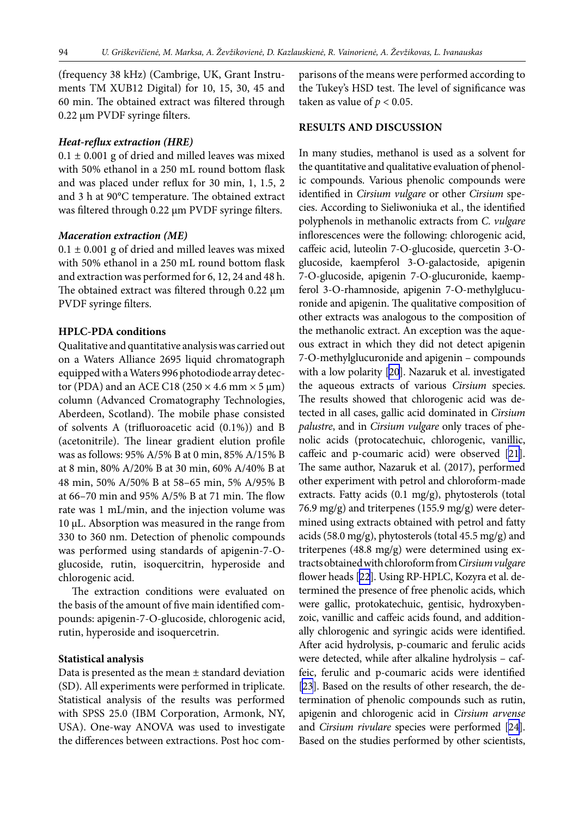(frequency 38 kHz) (Cambrige, UK, Grant Instruments TM XUB12 Digital) for 10, 15, 30, 45 and 60 min. The obtained extract was filtered through 0.22 μm PVDF syringe filters.

## *Heat-reflux extraction (HRE)*

 $0.1 \pm 0.001$  g of dried and milled leaves was mixed with 50% ethanol in a 250 mL round bottom flask and was placed under reflux for 30 min, 1, 1.5, 2 and 3 h at 90°C temperature. The obtained extract was filtered through 0.22 μm PVDF syringe filters.

#### *Maceration extraction (ME)*

 $0.1 \pm 0.001$  g of dried and milled leaves was mixed with 50% ethanol in a 250 mL round bottom flask and extraction was performed for 6, 12, 24 and 48 h. The obtained extract was filtered through 0.22 μm PVDF syringe filters.

## **HPLC-PDA conditions**

Qualitative and quantitative analysis was carried out on a Waters Alliance 2695 liquid chromatograph equipped with a Waters 996 photodiode array detector (PDA) and an ACE C18 (250  $\times$  4.6 mm  $\times$  5 µm) column (Advanced Cromatography Technologies, Aberdeen, Scotland). The mobile phase consisted of solvents A (trifluoroacetic acid (0.1%)) and B (acetonitrile). The linear gradient elution profile was as follows: 95% A/5% B at 0 min, 85% A/15% B at 8 min, 80% A/20% B at 30 min, 60% A/40% B at 48 min, 50% A/50% B at 58–65 min, 5% A/95% B at 66–70 min and 95% A/5% B at 71 min. The flow rate was 1 mL/min, and the injection volume was 10 μL. Absorption was measured in the range from 330 to 360 nm. Detection of phenolic compounds was performed using standards of apigenin-7-Oglucoside, rutin, isoquercitrin, hyperoside and chlorogenic acid.

The extraction conditions were evaluated on the basis of the amount of five main identified compounds: apigenin-7-O-glucoside, chlorogenic acid, rutin, hyperoside and isoquercetrin.

## **Statistical analysis**

Data is presented as the mean ± standard deviation (SD). All experiments were performed in triplicate. Statistical analysis of the results was performed with SPSS 25.0 (IBM Corporation, Armonk, NY, USA). One-way ANOVA was used to investigate the differences between extractions. Post hoc comparisons of the means were performed according to the Tukey's HSD test. The level of significance was taken as value of  $p < 0.05$ .

# **RESULTS AND DISCUSSION**

In many studies, methanol is used as a solvent for the quantitative and qualitative evaluation of phenolic compounds. Various phenolic compounds were identified in *Cirsium vulgare* or other *Cirsium* species. According to Sieliwoniuka et al., the identified polyphenols in methanolic extracts from *C. vulgare* inflorescences were the following: chlorogenic acid, caffeic acid, luteolin 7-O-glucoside, quercetin 3-Oglucoside, kaempferol 3-O-galactoside, apigenin 7-O-glucoside, apigenin 7-O-glucuronide, kaempferol 3-O-rhamnoside, apigenin 7-O-methylglucuronide and apigenin. The qualitative composition of other extracts was analogous to the composition of the methanolic extract. An exception was the aqueous extract in which they did not detect apigenin 7-O-methylglucuronide and apigenin – compounds with a low polarity [[20\]](#page-7-7). Nazaruk et al. investigated the aqueous extracts of various *Cirsium* species. The results showed that chlorogenic acid was detected in all cases, gallic acid dominated in *Cirsium palustre*, and in *Cirsium vulgare* only traces of phenolic acids (protocatechuic, chlorogenic, vanillic, caffeic and p-coumaric acid) were observed [[21\]](#page-7-8). The same author, Nazaruk et al. (2017), performed other experiment with petrol and chloroform-made extracts. Fatty acids (0.1 mg/g), phytosterols (total 76.9 mg/g) and triterpenes (155.9 mg/g) were determined using extracts obtained with petrol and fatty acids (58.0 mg/g), phytosterols (total 45.5 mg/g) and triterpenes (48.8 mg/g) were determined using extracts obtained with chloroform from *Cirsium vulgare* flower heads [[22](#page-7-9)]. Using RP-HPLC, Kozyra et al. determined the presence of free phenolic acids, which were gallic, protokatechuic, gentisic, hydroxybenzoic, vanillic and caffeic acids found, and additionally chlorogenic and syringic acids were identified. After acid hydrolysis, p-coumaric and ferulic acids were detected, while after alkaline hydrolysis – caffeic, ferulic and p-coumaric acids were identified [\[23\]](#page-7-10). Based on the results of other research, the determination of phenolic compounds such as rutin, apigenin and chlorogenic acid in *Cirsium arvense* and *Cirsium rivulare* species were performed [[24\]](#page-7-11). Based on the studies performed by other scientists,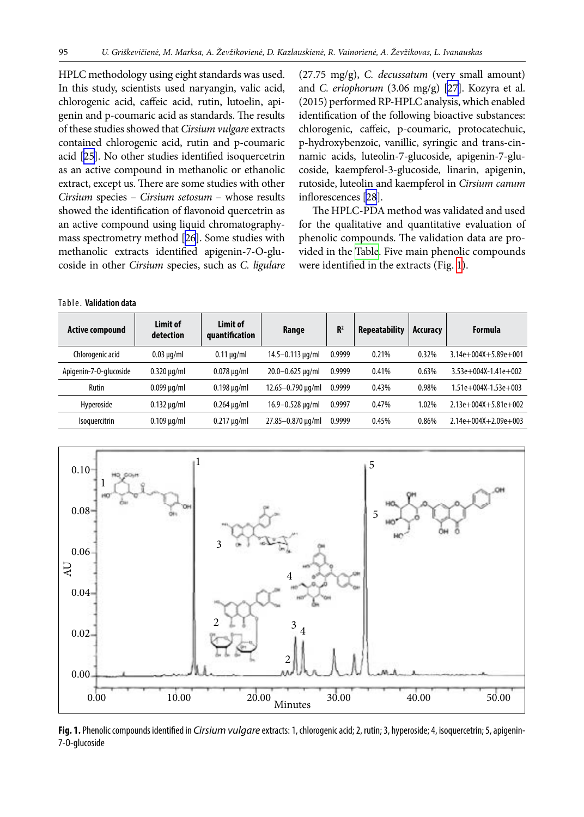HPLC methodology using eight standards was used. In this study, scientists used naryangin, valic acid, chlorogenic acid, caffeic acid, rutin, lutoelin, apigenin and p-coumaric acid as standards. The results of these studies showed that *Cirsium vulgare* extracts contained chlorogenic acid, rutin and p-coumaric acid [\[25\]](#page-7-12). No other studies identified isoquercetrin as an active compound in methanolic or ethanolic extract, except us. There are some studies with other *Cirsium* species – *Cirsium setosum* – whose results showed the identification of flavonoid quercetrin as an active compound using liquid chromatographymass spectrometry method [\[26](#page-7-13)]. Some studies with methanolic extracts identified apigenin-7-O-glucoside in other *Cirsium* species, such as *C. ligulare* (27.75 mg/g), *C. decussatum* (very small amount) and *C. eriophorum* (3.06 mg/g) [\[27\]](#page-7-14). Kozyra et al. (2015) performed RP-HPLC analysis, which enabled identification of the following bioactive substances: chlorogenic, caffeic, p-coumaric, protocatechuic, p-hydroxybenzoic, vanillic, syringic and trans-cinnamic acids, luteolin-7-glucoside, apigenin-7-glucoside, kaempferol-3-glucoside, linarin, apigenin, rutoside, luteolin and kaempferol in *Cirsium canum* inflorescences [\[28](#page-7-15)].

The HPLC-PDA method was validated and used for the qualitative and quantitative evaluation of phenolic compounds. The validation data are provided in the [Table](#page-3-0). Five main phenolic compounds were identified in the extracts (Fig. [1\)](#page-3-1).

#### <span id="page-3-0"></span>Table. **Validation data**

| <b>Active compound</b> | Limit of<br>detection | Limit of<br>quantification | Range                     | R <sup>2</sup> | <b>Repeatability</b> | Accuracy | Formula                      |
|------------------------|-----------------------|----------------------------|---------------------------|----------------|----------------------|----------|------------------------------|
| Chlorogenic acid       | $0.03 \mu q/ml$       | $0.11 \mu q/ml$            | $14.5 - 0.113 \,\mu q/ml$ | 0.9999         | 0.21%                | 0.32%    | $3.14e + 004X + 5.89e + 001$ |
| Apigenin-7-0-glucoside | $0.320 \mu q/ml$      | $0.078 \mu q/ml$           | $20.0 - 0.625 \,\mu g/ml$ | 0.9999         | 0.41%                | 0.63%    | $3.53e+004X-1.41e+002$       |
| Rutin                  | $0.099 \mu q/ml$      | $0.198 \mu q/ml$           | 12.65-0.790 µg/ml         | 0.9999         | 0.43%                | 0.98%    | $1.51e+004X-1.53e+003$       |
| Hyperoside             | $0.132 \mu q/ml$      | $0.264 \mu q/ml$           | $16.9 - 0.528 \,\mu g/ml$ | 0.9997         | 0.47%                | 1.02%    | $2.13e+004X+5.81e+002$       |
| Isoquercitrin          | $0.109 \mu q/ml$      | $0.217 \mu q/ml$           | 27.85-0.870 µg/ml         | 0.9999         | 0.45%                | 0.86%    | $2.14e+004X+2.09e+003$       |

<span id="page-3-1"></span>

**Fig. 1.** Phenolic compounds identified in *Cirsium vulgare* extracts: 1, chlorogenic acid; 2, rutin; 3, hyperoside; 4, isoquercetrin; 5, apigenin-7-O-glucoside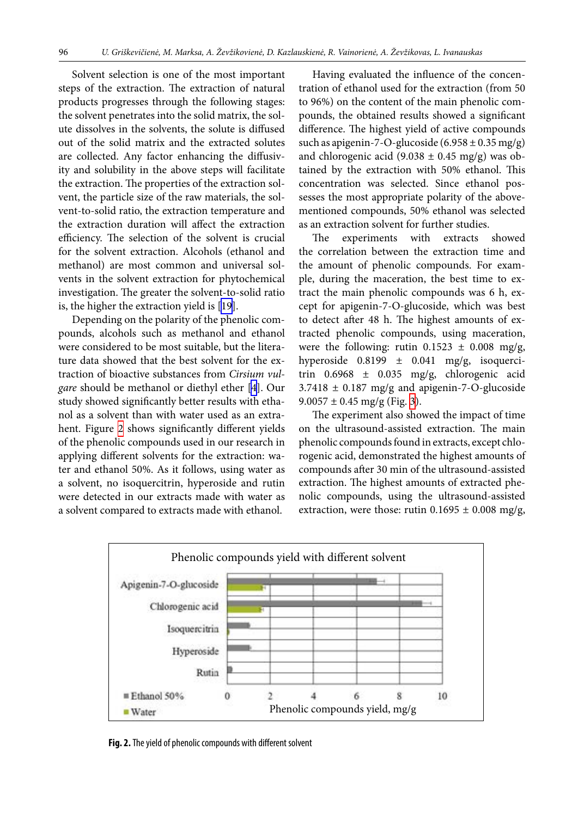Solvent selection is one of the most important steps of the extraction. The extraction of natural products progresses through the following stages: the solvent penetrates into the solid matrix, the solute dissolves in the solvents, the solute is diffused out of the solid matrix and the extracted solutes are collected. Any factor enhancing the diffusivity and solubility in the above steps will facilitate the extraction. The properties of the extraction solvent, the particle size of the raw materials, the solvent-to-solid ratio, the extraction temperature and the extraction duration will affect the extraction efficiency. The selection of the solvent is crucial for the solvent extraction. Alcohols (ethanol and methanol) are most common and universal solvents in the solvent extraction for phytochemical investigation. The greater the solvent-to-solid ratio is, the higher the extraction yield is [\[19\]](#page-7-6).

Depending on the polarity of the phenolic compounds, alcohols such as methanol and ethanol were considered to be most suitable, but the literature data showed that the best solvent for the extraction of bioactive substances from *Cirsium vulgare* should be methanol or diethyl ether [\[4\]](#page-6-3). Our study showed significantly better results with ethanol as a solvent than with water used as an extra-hent. Figure [2](#page-4-0) shows significantly different yields of the phenolic compounds used in our research in applying different solvents for the extraction: water and ethanol 50%. As it follows, using water as a solvent, no isoquercitrin, hyperoside and rutin were detected in our extracts made with water as a solvent compared to extracts made with ethanol.

Having evaluated the influence of the concentration of ethanol used for the extraction (from 50 to 96%) on the content of the main phenolic compounds, the obtained results showed a significant difference. The highest yield of active compounds such as apigenin-7-O-glucoside  $(6.958 \pm 0.35 \text{ mg/g})$ and chlorogenic acid  $(9.038 \pm 0.45 \text{ mg/g})$  was obtained by the extraction with 50% ethanol. This concentration was selected. Since ethanol possesses the most appropriate polarity of the abovementioned compounds, 50% ethanol was selected as an extraction solvent for further studies.

The experiments with extracts showed the correlation between the extraction time and the amount of phenolic compounds. For example, during the maceration, the best time to extract the main phenolic compounds was 6 h, except for apigenin-7-O-glucoside, which was best to detect after 48 h. The highest amounts of extracted phenolic compounds, using maceration, were the following: rutin  $0.1523 \pm 0.008$  mg/g, hyperoside  $0.8199 \pm 0.041$  mg/g, isoquercitrin  $0.6968 \pm 0.035$  mg/g, chlorogenic acid  $3.7418 \pm 0.187$  mg/g and apigenin-7-O-glucoside  $9.0057 \pm 0.45$  mg/g (Fig. [3\)](#page-5-0).

<span id="page-4-0"></span>The experiment also showed the impact of time on the ultrasound-assisted extraction. The main phenolic compounds found in extracts, except chlorogenic acid, demonstrated the highest amounts of compounds after 30 min of the ultrasound-assisted extraction. The highest amounts of extracted phenolic compounds, using the ultrasound-assisted extraction, were those: rutin  $0.1695 \pm 0.008$  mg/g,



**Fig. 2.** The yield of phenolic compounds with different solvent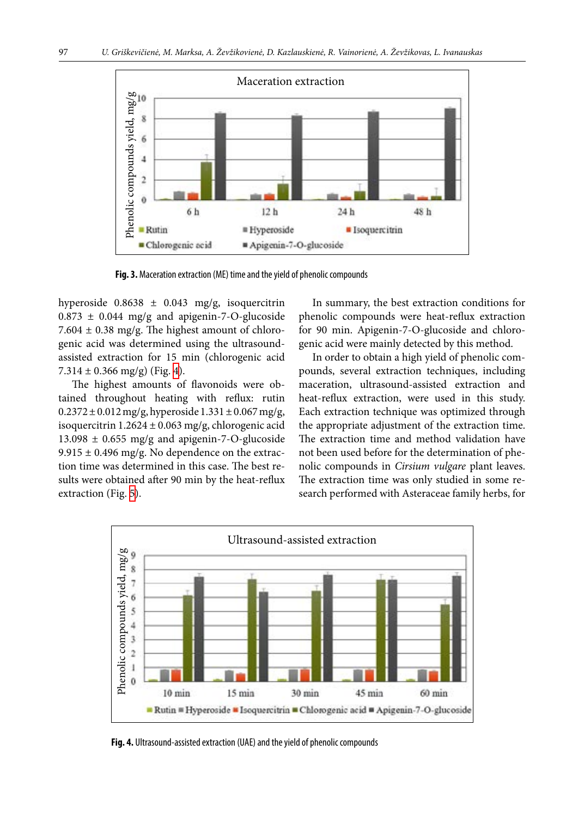<span id="page-5-0"></span>

hyperoside  $0.8638 \pm 0.043$  mg/g, isoquercitrin  $0.873 \pm 0.044$  mg/g and apigenin-7-O-glucoside 7.604  $\pm$  0.38 mg/g. The highest amount of chlorogenic acid was determined using the ultrasoundassisted extraction for 15 min (chlorogenic acid  $7.314 \pm 0.366$  mg/g) (Fig. [4\)](#page-5-1).

The highest amounts of flavonoids were obtained throughout heating with reflux: rutin  $0.2372 \pm 0.012$  mg/g, hyperoside  $1.331 \pm 0.067$  mg/g, isoquercitrin  $1.2624 \pm 0.063$  mg/g, chlorogenic acid 13.098  $\pm$  0.655 mg/g and apigenin-7-O-glucoside  $9.915 \pm 0.496$  mg/g. No dependence on the extraction time was determined in this case. The best results were obtained after 90 min by the heat-reflux extraction (Fig. [5\)](#page-6-7).

In summary, the best extraction conditions for phenolic compounds were heat-reflux extraction for 90 min. Apigenin-7-O-glucoside and chlorogenic acid were mainly detected by this method.

<span id="page-5-1"></span>In order to obtain a high yield of phenolic compounds, several extraction techniques, including maceration, ultrasound-assisted extraction and heat-reflux extraction, were used in this study. Each extraction technique was optimized through the appropriate adjustment of the extraction time. The extraction time and method validation have not been used before for the determination of phenolic compounds in *Cirsium vulgare* plant leaves. The extraction time was only studied in some research performed with Asteraceae family herbs, for

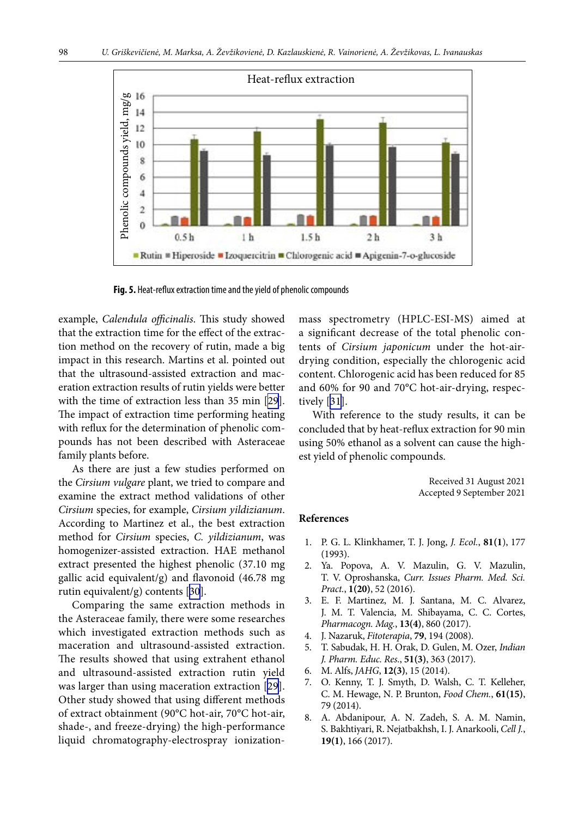<span id="page-6-7"></span>

**Fig. 5.** Heat-reflux extraction time and the yield of phenolic compounds

example, *Calendula officinalis*. This study showed that the extraction time for the effect of the extraction method on the recovery of rutin, made a big impact in this research. Martins et al. pointed out that the ultrasound-assisted extraction and maceration extraction results of rutin yields were better with the time of extraction less than 35 min [\[29](#page-7-16)]. The impact of extraction time performing heating with reflux for the determination of phenolic compounds has not been described with Asteraceae family plants before.

As there are just a few studies performed on the *Cirsium vulgare* plant, we tried to compare and examine the extract method validations of other *Cirsium* species, for example, *Cirsium yildizianum*. According to Martinez et al., the best extraction method for *Cirsium* species, *C. yildizianum*, was homogenizer-assisted extraction. HAE methanol extract presented the highest phenolic (37.10 mg gallic acid equivalent/g) and flavonoid (46.78 mg rutin equivalent/g) contents [[30\]](#page-7-17).

Comparing the same extraction methods in the Asteraceae family, there were some researches which investigated extraction methods such as maceration and ultrasound-assisted extraction. The results showed that using extrahent ethanol and ultrasound-assisted extraction rutin yield was larger than using maceration extraction [[29](#page-7-16)]. Other study showed that using different methods of extract obtainment (90°C hot-air, 70°C hot-air, shade-, and freeze-drying) the high-performance liquid chromatography-electrospray ionizationmass spectrometry (HPLC-ESI-MS) aimed at a significant decrease of the total phenolic contents of *Cirsium japonicum* under the hot-airdrying condition, especially the chlorogenic acid content. Chlorogenic acid has been reduced for 85 and 60% for 90 and 70°C hot-air-drying, respectively [\[31\]](#page-7-18).

With reference to the study results, it can be concluded that by heat-reflux extraction for 90 min using 50% ethanol as a solvent can cause the highest yield of phenolic compounds.

> Received 31 August 2021 Accepted 9 September 2021

# <span id="page-6-0"></span>**References**

- <span id="page-6-1"></span>1. P. G. L. Klinkhamer, T. J. Jong, *J. Ecol.*, **81(1**), 177 (1993).
- <span id="page-6-2"></span>2. Ya. Popova, A. V. Мazulin, G. V. Мazulin, Т. V. Оproshanska, *Curr. Issues Pharm. Med. Sci. Pract.*, **1(20)**, 52 (2016).
- <span id="page-6-3"></span>3. E. F. Martinez, M. J. Santana, M. C. Alvarez, J. M. T. Valencia, M. Shibayama, C. C. Cortes, *Pharmacogn. Mag.*, **13(4)**, 860 (2017).
- <span id="page-6-4"></span>4. J. Nazaruk, *Fitoterapia*, **79**, 194 (2008).
- <span id="page-6-5"></span>5. T. Sabudak, H. H. Orak, D. Gulen, M. Ozer, *Indian J. Pharm. Educ. Res.*, **51(3)**, 363 (2017).
- 6. M. Alfs, *JAHG*, **12(3)**, 15 (2014).
- <span id="page-6-6"></span>7. O. Kenny, T. J. Smyth, D. Walsh, C. T. Kelleher, C. M. Hewage, N. P. Brunton, *Food Chem.*, **61(15)**, 79 (2014).
- 8. A. Abdanipour, A. N. Zadeh, S. A. M. Namin, S. Bakhtiyari, R. Nejatbakhsh, I. J. Anarkooli, *Cell J.*, **19(1)**, 166 (2017).